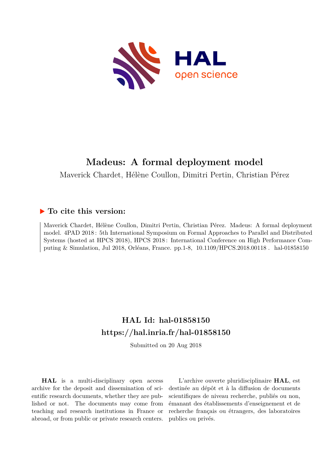

# **Madeus: A formal deployment model**

Maverick Chardet, Hélène Coullon, Dimitri Pertin, Christian Pérez

### **To cite this version:**

Maverick Chardet, Hélène Coullon, Dimitri Pertin, Christian Pérez. Madeus: A formal deployment model. 4PAD 2018 : 5th International Symposium on Formal Approaches to Parallel and Distributed Systems (hosted at HPCS 2018), HPCS 2018 : International Conference on High Performance Computing & Simulation, Jul 2018, Orléans, France. pp.1-8,  $10.1109/HPCS.2018.00118$ . hal-01858150

## **HAL Id: hal-01858150 <https://hal.inria.fr/hal-01858150>**

Submitted on 20 Aug 2018

**HAL** is a multi-disciplinary open access archive for the deposit and dissemination of scientific research documents, whether they are published or not. The documents may come from teaching and research institutions in France or abroad, or from public or private research centers.

L'archive ouverte pluridisciplinaire **HAL**, est destinée au dépôt et à la diffusion de documents scientifiques de niveau recherche, publiés ou non, émanant des établissements d'enseignement et de recherche français ou étrangers, des laboratoires publics ou privés.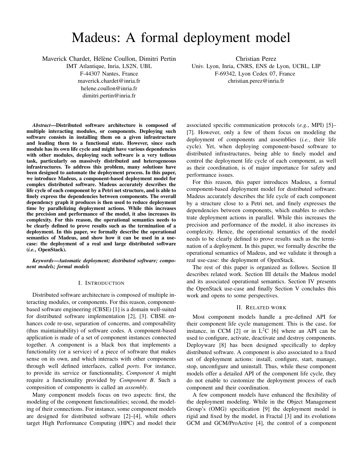# Madeus: A formal deployment model

Maverick Chardet, Hélène Coullon, Dimitri Pertin

IMT Atlantique, Inria, LS2N, UBL F-44307 Nantes, France maverick.chardet@inria.fr helene.coullon@inria.fr dimitri.pertin@inria.fr

*Abstract*—Distributed software architecture is composed of multiple interacting modules, or components. Deploying such software consists in installing them on a given infrastructure and leading them to a functional state. However, since each module has its own life cycle and might have various dependencies with other modules, deploying such software is a very tedious task, particularly on massively distributed and heterogeneous infrastructures. To address this problem, many solutions have been designed to automate the deployment process. In this paper, we introduce Madeus, a component-based deployment model for complex distributed software. Madeus accurately describes the life cycle of each component by a Petri net structure, and is able to finely express the dependencies between components. The overall dependency graph it produces is then used to reduce deployment time by parallelizing deployment actions. While this increases the precision and performance of the model, it also increases its complexity. For this reason, the operational semantics needs to be clearly defined to prove results such as the termination of a deployment. In this paper, we formally describe the operational semantics of Madeus, and show how it can be used in a usecase: the deployment of a real and large distributed software (*i.e.*, OpenStack).

*Keywords*—*Automatic deployment; distributed software; component models; formal models*

#### I. INTRODUCTION

Distributed software architecture is composed of multiple interacting modules, or components. For this reason, componentbased software engineering (CBSE) [1] is a domain well-suited for distributed software implementation [2], [3]. CBSE enhances code re-use, separation of concerns, and composability (thus maintainability) of software codes. A component-based application is made of a set of component instances connected together. A component is a black box that implements a functionality (or a service) of a piece of software that makes sense on its own, and which interacts with other components through well defined interfaces, called *ports*. For instance, to provide its service or functionnality, *Component A* might require a functionality provided by *Component B*. Such a composition of components is called an *assembly*.

Many component models focus on two aspects: first, the modeling of the component functionalities; second, the modeling of their connections. For instance, some component models are designed for distributed software [2]–[4], while others target High Performance Computing (HPC) and model their

Christian Perez Univ. Lyon, Inria, CNRS, ENS de Lyon, UCBL, LIP F-69342, Lyon Cedex 07, France christian.perez@inria.fr

associated specific communication protocols (*e.g.*, MPI) [5]– [7]. However, only a few of them focus on modeling the deployment of components and assemblies (*i.e.*, their life cycle). Yet, when deploying component-based software to distributed infrastructures, being able to finely model and control the deployment life cycle of each component, as well as their coordination, is of major importance for safety and performance issues.

For this reason, this paper introduces Madeus, a formal component-based deployment model for distributed software. Madeus accurately describes the life cycle of each component by a structure close to a Petri net, and finely expresses the dependencies between components, which enables to orchestrate deployment actions in parallel. While this increases the precision and performance of the model, it also increases its complexity. Hence, the operational semantics of the model needs to be clearly defined to prove results such as the termination of a deployment. In this paper, we formally describe the operational semantics of Madeus, and we validate it through a real use-case: the deployment of OpenStack.

The rest of this paper is organized as follows. Section II describes related work. Section III details the Madeus model and its associated operational semantics. Section IV presents the OpenStack use-case and finally Section V concludes this work and opens to some perspectives.

#### II. RELATED WORK

Most component models handle a pre-defined API for their component life cycle management. This is the case, for instance, in CCM  $[2]$  or in  $L^2C$   $[6]$  where an API can be used to configure, activate, deactivate and destroy components. Deployware [8] has been designed specifically to deploy distributed software. A component is also associated to a fixed set of deployment actions: install, configure, start, manage, stop, unconfigure and uninstall. Thus, while these component models offer a detailed API of the component life cycle, they do not enable to customize the deployment process of each component and their coordination.

A few component models have enhanced the flexibility of the deployment modeling. While in the Object Management Group's (OMG) specification [9] the deployment model is rigid and fixed by the model, in Fractal [3] and its evolutions GCM and GCM/ProActive [4], the control of a component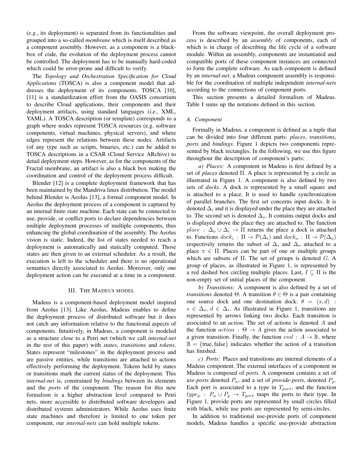(*e.g.*, its deployment) is separated from its functionalities and grouped into a so-called *membrane* which is itself described as a component assembly. However, as a component is a blackbox of code, the evolution of the deployment process cannot be controlled. The deployment has to be manually hard-coded which could be error-prone and difficult to verify.

The *Topology and Orchestration Specification for Cloud Applications* (TOSCA) is also a component model that addresses the deployment of its components. TOSCA [10], [11] is a standardization effort from the OASIS consortium to describe Cloud applications, their components and their deployment artifacts, using standard languages (*i.e.*, XML, YAML). A TOSCA description (or template) corresponds to a graph where nodes represent TOSCA resources (e.g. software components, virtual machines, physical servers), and where edges represent the relations between these nodes. Artifacts (of any type such as scripts, binaries, etc.) can be added to TOSCA descriptions in a CSAR (Cloud Service ARchive) to detail deployment steps. However, as for the components of the Fractal membrane, an artifact is also a black box making the coordination and control of the deployment process difficult.

Blender [12] is a complete deployment framework that has been maintained by the Mandriva linux distribution. The model behind Blender is Aeolus [13], a formal component model. In Aeolus the deployment process of a component is captured by an internal finite state machine. Each state can be connected to use, provide, or conflict ports to declare dependencies between multiple deployment processes of multiple components, thus enhancing the global coordination of the assembly. The Aeolus vision is static. Indeed, the list of states needed to reach a deployment is automatically and statically computed. Those states are then given to an external scheduler. As a result, the execution is left to the scheduler and there is no operational semantics directly associated to Aeolus. Moreover, only one deployment action can be executed at a time in a component.

#### III. THE MADEUS MODEL

Madeus is a component-based deployment model inspired from Aeolus [13]. Like Aeolus, Madeus enables to define the deployment process of distributed software but it does not catch any information relative to the functional aspects of components. Intuitively, in Madeus, a component is modeled as a structure close to a Petri net (which we call *internal-net* in the rest of this paper) with *states*, *transitions* and *tokens*. States represent "milestones" in the deployment process and are passive entities, while transitions are attached to actions effectively performing the deployment. Tokens held by states or transitions mark the current status of the deployment. This *internal-net* is, constrained by *bindings* between its elements and the *ports* of the component. The reason for this new formalism is a higher abstraction level compared to Petri nets, more accessible to distributed software developers and distributed systems administrators. While Aeolus uses finite state machines and therefore is limited to one token per component, our *internal-nets* can hold multiple tokens.

From the software viewpoint, the overall deployment process is described by an *assembly* of components, each of which is in charge of describing the life cycle of a software module. Within an assembly, components are instantiated and compatible ports of these component instances are connected to form the complete software. As each component is defined by an *internal-net*, a Madeus component assembly is responsible for the coordination of multiple independent *internal-nets* according to the connections of component ports.

This section presents a detailed formalism of Madeus. Table I sums up the notations defined in this section.

#### *A. Component*

Formally in Madeus, a component is defined as a tuple that can be divided into four different parts: *places*, *transitions*, *ports* and *bindings*. Figure 1 depicts two components represented by black rectangles. In the following, we use this figure throughout the description of component's parts:

*a) Places:* A component in Madeus is first defined by a set of *places* denoted Π. A place is represented by a circle as illustrated in Figure 1. A component is also defined by two sets of *docks*. A dock is represented by a small square and is attached to a place. It is used to handle synchronization of parallel branches. The first set concerns input docks. It is denoted  $\Delta_i$  and it is displayed under the place they are attached to. The second set is denoted  $\Delta_o$ . It contains output docks and is displayed above the place they are attached to. The function place :  $\Delta_o \cup \Delta_i \rightarrow \Pi$  returns the place a dock is attached to. Functions  ${dock}_i : \Pi \to \mathcal{P}(\Delta_i)$  and  ${dock}_o : \Pi \to \mathcal{P}(\Delta_o)$ respectively returns the subset of  $\Delta_i$  and  $\Delta_o$  attached to a place  $\pi \in \Pi$ . Places can be part of one or multiple groups which are subsets of  $\Pi$ . The set of groups is denoted  $G$ . A group of places, as illustrated in Figure 1, is represented by a red dashed box circling multiple places. Last,  $I \subseteq \Pi$  is the non-empty set of initial places of the component.

*b) Transitions:* A component is also defined by a set of *transitions* denoted  $\Theta$ . A transition  $\theta \in \Theta$  is a pair containing one source dock and one destination dock:  $\theta = (s, d)$ :  $s \in \Delta_o, d \in \Delta_i$ . As illustrated in Figure 1, transitions are represented by arrows linking two docks. Each transition is associated to an *action*. The set of actions is denoted A and the function  $action : \Theta \rightarrow A$  gives the action associated to a given transition. Finally, the function end :  $A \rightarrow \mathbb{B}$ , where  $\mathbb{B} = \{$ true, false $\}$  indicates whether the action of a transition has finished.

*c) Ports:* Places and transitions are internal elements of a Madeus component. The external interfaces of a component in Madeus is composed of *ports*. A component contains a set of *use-ports* denoted  $P_u$ , and a set of *provide-ports*, denoted  $P_p$ . Each port is associated to a type in  $T_{port}$ , and the function  $type_p$ :  $P_u \cup P_p \rightarrow T_{port}$  maps the ports to their type. In Figure 1, provide ports are represented by small circles filled with black, while use ports are represented by semi-circles.

In addition to traditional use-provide ports of component models, Madeus handles a specific use-provide abstraction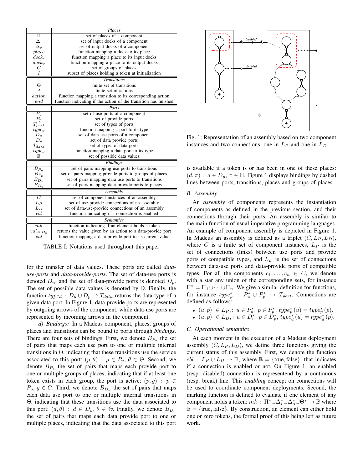|                      | Places                                                           |
|----------------------|------------------------------------------------------------------|
| $\Pi$                | set of places of a component                                     |
| $\Delta_i$           | set of input docks of a component                                |
| $\Delta_{\alpha}$    | set of output docks of a component                               |
| place                | function mapping a dock to its place                             |
| $dock_i$             | function mapping a place to its input docks                      |
| $dock_o$             | function mapping a place to its output docks                     |
| G                    | set of groups of places                                          |
| Ι                    | subset of places holding a token at initialization               |
|                      | <b>Transitions</b>                                               |
| Θ                    | finite set of transitions                                        |
| $\overline{A}$       | finite set of actions                                            |
| action               | function mapping a transition to its corresponding action        |
| end                  | function indicating if the action of the transition has finished |
|                      | Ports                                                            |
| $P_u$                | set of use ports of a component                                  |
| $P_p$                | set of provide ports                                             |
| $T_{port}$           | set of types of ports                                            |
| $type_p$             | function mapping a port to its type                              |
| $D_u$                | set of data use ports of a component                             |
| $D_p$                | set of data provide ports                                        |
| $\mathcal{T}_{data}$ | set of types of data ports                                       |
| $type_d$             | function mapping a data port to its type                         |
| $\mathbb{D}$         | set of possible data values                                      |
|                      | <b>Bindings</b>                                                  |
| $\overline{B}_{P_u}$ | set of pairs mapping use ports to transitions                    |
| $B_{P_p}$            | set of pairs mapping provide ports to groups of places           |
| $B_{D_u}$            | set of pairs mapping data use ports to transitions               |
| $B_{D_p}$            | set of pairs mapping data provide ports to places                |
|                      | Assembly                                                         |
| $\overline{C}$       | set of component instances of an assembly                        |
| $L_P$                | set of use-provide connections of an assembly                    |
| $L_D$                | set of data-use-provide connections of an assembly               |
| $_{ebl}$             | function indicating if a connection is enabled                   |
|                      | <b>Semantics</b>                                                 |
| mk                   | function indicating if an element holds a token                  |
| $val_{A,D_p}$        | returns the value given by an action to a data-provide port      |
| $_{val}$             | function mapping a data provide port to its current value        |

TABLE I: Notations used throughout this paper

for the transfer of data values. These ports are called *datause-ports* and *data-provide-ports*. The set of data-use ports is denoted  $D_u$ , and the set of data-provide ports is denoted  $D_v$ . The set of possible data values is denoted by D. Finally, the function  $type_d : D_u \cup D_p \rightarrow T_{data}$  returns the data type of a given data port. In Figure 1, data-provide ports are represented by outgoing arrows of the component, while data-use ports are represented by incoming arrows in the component.

*d) Bindings:* In a Madeus component, places, groups of places and transitions can be bound to ports through *bindings*. There are four sets of bindings. First, we denote  $B_{P_u}$  the set of pairs that maps each use port to one or multiple internal transitions in Θ, indicating that these transitions use the service associated to this port:  $(p, \theta)$ :  $p \in P_u$ ,  $\theta \in \Theta$ . Second, we denote  $B_{P_p}$  the set of pairs that maps each provide port to one or multiple groups of places, indicating that if at least one token exists in each group, the port is active:  $(p, g)$ :  $p \in$  $P_p, g \in G$ . Third, we denote  $B_{D_u}$  the set of pairs that maps each data use port to one or multiple internal transitions in Θ, indicating that these transitions use the data associated to this port:  $(d, \theta)$ :  $d \in D_u$ ,  $\theta \in \Theta$ . Finally, we denote  $B_{D_n}$ the set of pairs that maps each data provide port to one or multiple places, indicating that the data associated to this port



Fig. 1: Representation of an assembly based on two component instances and two connections, one in  $L_P$  and one in  $L_D$ .

is available if a token is or has been in one of these places:  $(d, \pi) : d \in D_p$ ,  $\pi \in \Pi$ . Figure 1 displays bindings by dashed lines between ports, transitions, places and groups of places.

#### *B. Assembly*

An *assembly* of components represents the instantiation of components as defined in the previous section, and their connections through their ports. An assembly is similar to the main function of usual imperative programming languages. An example of component assembly is depicted in Figure 1. In Madeus an assembly is defined as a triplet  $(C, L_P, L_D)$ , where  $C$  is a finite set of component instances,  $L_P$  is the set of connections (links) between use ports and provide ports of compatible types, and  $L<sub>D</sub>$  is the set of connections between data-use ports and data-provide ports of compatible types. For all the components  $c_1, \ldots, c_n \in C$ , we denote with a star any union of the corresponding sets, for instance  $\Pi^* = \Pi_1 \cup \cdots \cup \Pi_n$ . We give a similar definition for functions, for instance  $type_p^*$ :  $P_u^* \cup P_p^* \rightarrow T_{port}$ . Connections are defined as follows:

- $(u, p) \in L_P$ , :  $u \in P_u^*$ ,  $p \in P_p^*$ ,  $type_p^*(u) = type_p^*(p)$ ,
- $(u, p) \in L_D$ , :  $u \in D_u^*$ ,  $p \in \dot{D}_p^*$ ,  $type_d^*(u) = type_d^*(p)$ .

#### *C. Operational semantics*

At each moment in the execution of a Madeus deployment assembly  $(C, L_P, L_D)$ , we define three functions giving the current status of this assembly. First, we denote the function  $ebl$  :  $L_P \cup L_D \rightarrow \mathbb{B}$ , where  $\mathbb{B} = \{\text{true}, \text{false}\},\$  that indicates if a connection is enabled or not. On Figure 1, an enabled (resp. disabled) connection is representend by a continuous (resp. break) line. This *enabling* concept on connections will be used to coordinate component deployments. Second, the marking function is defined to evaluate if one element of any component holds a token:  $mk : \Pi^* \cup \Delta_i^* \cup \Delta_o^* \cup \Theta^* \to \mathbb{B}$  where  $\mathbb{B} = \{$ true, false $\}$ . By construction, an element can either hold one or zero tokens, the formal proof of this being left as future work.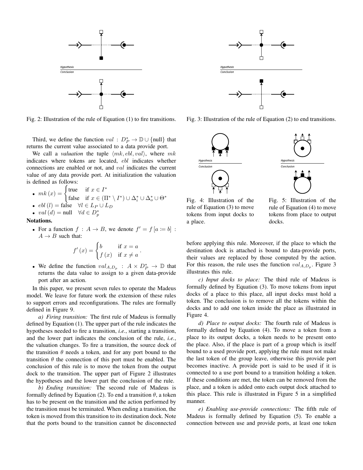

Fig. 2: Illustration of the rule of Equation (1) to fire transitions.

Third, we define the function  $val : D_P^* \to \mathbb{D} \cup \{null\}$  that returns the current value associated to a data provide port.

We call a *valuation* the tuple  $\langle mk, ebl, val \rangle$ , where mk indicates where tokens are located, *ebl* indicates whether connections are enabled or not, and *val* indicates the current value of any data provide port. At initialization the valuation is defined as follows:

• 
$$
mk(x) = \begin{cases} \text{true} & \text{if } x \in I^* \\ \text{false} & \text{if } x \in (\Pi^* \setminus I^*) \cup \Delta_i^* \cup \Delta_o^* \cup \Theta^* \end{cases}
$$

- ebl(l) = false  $\forall l \in L_P \cup L_D$
- $val(d) = null \quad \forall d \in D_p^*$

Notations.

• For a function  $f : A \to B$ , we denote  $f' = f [a := b]$ :  $A \rightarrow B$  such that:

$$
f'(x) = \begin{cases} b & \text{if } x = a \\ f(x) & \text{if } x \neq a \end{cases}.
$$

• We define the function  $val_{A,D_p}$ :  $A \times D_P^* \rightarrow \mathbb{D}$  that returns the data value to assign to a given data-provide port after an action.

In this paper, we present seven rules to operate the Madeus model. We leave for future work the extension of these rules to support errors and reconfigurations. The rules are formally defined in Figure 9.

*a) Firing transition:* The first rule of Madeus is formally defined by Equation (1). The upper part of the rule indicates the hypotheses needed to fire a transition, *i.e.*, starting a transition, and the lower part indicates the conclusion of the rule, *i.e.*, the valuation changes. To fire a transition, the source dock of the transition  $\theta$  needs a token, and for any port bound to the transition  $\theta$  the connection of this port must be enabled. The conclusion of this rule is to move the token from the output dock to the transition. The upper part of Figure 2 illustrates the hypotheses and the lower part the conclusion of the rule.

*b) Ending transition:* The second rule of Madeus is formally defined by Equation (2). To end a transition  $\theta$ , a token has to be present on the transition and the action performed by the transition must be terminated. When ending a transition, the token is moved from this transition to its destination dock. Note that the ports bound to the transition cannot be disconnected



Fig. 3: Illustration of the rule of Equation (2) to end transitions.



Fig. 4: Illustration of the rule of Equation (3) to move tokens from input docks to a place.

Fig. 5: Illustration of the rule of Equation (4) to move tokens from place to output docks.

before applying this rule. Moreover, if the place to which the destination dock is attached is bound to data-provide ports, their values are replaced by those computed by the action. For this reason, the rule uses the function  $val_{A,D_p}$ . Figure 3 illustrates this rule.

*c) Input docks to place:* The third rule of Madeus is formally defined by Equation (3). To move tokens from input docks of a place to this place, all input docks must hold a token. The conclusion is to remove all the tokens within the docks and to add one token inside the place as illustrated in Figure 4.

*d) Place to output docks:* The fourth rule of Madeus is formally defined by Equation (4). To move a token from a place to its output docks, a token needs to be present onto the place. Also, if the place is part of a group which is itself bound to a used provide port, applying the rule must not make the last token of the group leave, otherwise this provide port becomes inactive. A provide port is said to be used if it is connected to a use port bound to a transition holding a token. If these conditions are met, the token can be removed from the place, and a token is added onto each output dock attached to this place. This rule is illustrated in Figure 5 in a simplified manner.

*e) Enabling use-provide connections:* The fifth rule of Madeus is formally defined by Equation (5). To enable a connection between use and provide ports, at least one token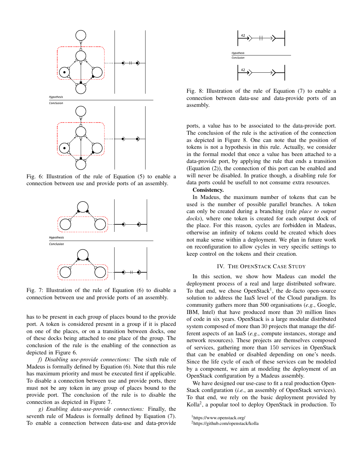

Fig. 6: Illustration of the rule of Equation (5) to enable a connection between use and provide ports of an assembly.



Fig. 7: Illustration of the rule of Equation (6) to disable a connection between use and provide ports of an assembly.

has to be present in each group of places bound to the provide port. A token is considered present in a group if it is placed on one of the places, or on a transition between docks, one of these docks being attached to one place of the group. The conclusion of the rule is the enabling of the connection as depicted in Figure 6.

*f) Disabling use-provide connections:* The sixth rule of Madeus is formally defined by Equation (6). Note that this rule has maximum priority and must be executed first if applicable. To disable a connection between use and provide ports, there must not be any token in any group of places bound to the provide port. The conclusion of the rule is to disable the connection as depicted in Figure 7.

*g) Enabling data-use-provide connections:* Finally, the seventh rule of Madeus is formally defined by Equation (7). To enable a connection between data-use and data-provide



Fig. 8: Illustration of the rule of Equation (7) to enable a connection between data-use and data-provide ports of an assembly.

ports, a value has to be associated to the data-provide port. The conclusion of the rule is the activation of the connection as depicted in Figure 8. One can note that the position of tokens is not a hypothesis in this rule. Actually, we consider in the formal model that once a value has been attached to a data-provide port, by applying the rule that ends a transition (Equation (2)), the connection of this port can be enabled and will never be disabled. In pratice though, a disabling rule for data ports could be usefull to not consume extra resources.

#### Consistency.

In Madeus, the maximum number of tokens that can be used is the number of possible parallel branches. A token can only be created during a branching (rule *place to output docks*), where one token is created for each output dock of the place. For this reason, cycles are forbidden in Madeus, otherwise an infinity of tokens could be created which does not make sense within a deployment. We plan in future work on reconfiguration to allow cycles in very specific settings to keep control on the tokens and their creation.

#### IV. THE OPENSTACK CASE STUDY

In this section, we show how Madeus can model the deployment process of a real and large distributed software. To that end, we chose OpenStack<sup>1</sup>, the de-facto open-source solution to address the IaaS level of the Cloud paradigm. Its community gathers more than 500 organisations (*e.g.*, Google, IBM, Intel) that have produced more than 20 million lines of code in six years. OpenStack is a large modular distributed system composed of more than 30 projects that manage the different aspects of an IaaS (*e.g.*, compute instances, storage and network resources). These projects are themselves composed of services, gathering more than 150 services in OpenStack that can be enabled or disabled depending on one's needs. Since the life cycle of each of these services can be modeled by a component, we aim at modeling the deployment of an OpenStack configuration by a Madeus assembly.

We have designed our use-case to fit a real production Open-Stack configuration (*i.e.*, an assembly of OpenStack services). To that end, we rely on the basic deployment provided by Kolla<sup>2</sup> , a popular tool to deploy OpenStack in production. To

<sup>1</sup>https://www.openstack.org/

<sup>2</sup>https://github.com/openstack/kolla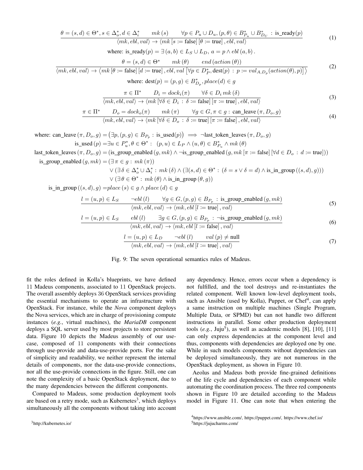$$
\theta = (s, d) \in \Theta^*, s \in \Delta_o^*, d \in \Delta_i^* \qquad mk \ (s) \qquad \forall p \in P_u \cup D_u, (p, \theta) \in B_{P_u}^* \cup B_{D_U}^* : is\_ready(p) \langle mk, ebl, val \rangle \rightarrow \langle mk \ [s := false] [\theta := true], ebl, val \rangle
$$
(1)  
\nwhere: is\\_ready(p) =  $\exists (a, b) \in L_S \cup L_D, a = p \land ebl \ (a, b).$   
\n
$$
\theta = (s, d) \in \Theta^* \qquad mk \ (\theta) \qquad end \ (action \ (\theta)) \n\langle mk, ebl, val \rangle \rightarrow \langle mk \ [a := false] [d := true], ebl, val \ [\forall p \in D_P^*, dest(p) : p := val_{A, D_p}(action(\theta), p)] \rangle
$$
(2)  
\nwhere: dest(p) = (p, g) \in B\_{D\_p}^\*, place(d) \in g  
\n
$$
\pi \in \Pi^* \qquad D_i = dock_i(\pi) \qquad \forall \delta \in D_i \ m k \ (\delta)
$$
  
\n
$$
\langle mk, ebl, val \rangle \rightarrow \langle mk \ [\forall \delta \in D_i : \delta := false] [\pi := true], ebl, val \rangle
$$
(3)  
\n
$$
\pi \in \Pi^* \qquad D_o = dock_o(\pi) \qquad mk \ (\pi) \qquad \forall g \in G, \pi \in g : can\_leave (\pi, D_o, g)
$$
  
\n
$$
\langle mk, ebl, val \rangle \rightarrow \langle mk \ [\forall \delta \in D_o : \delta := true] [\pi := false], ebl, val \rangle
$$
(4)  
\nwhere: can\\_leave (\pi, D\_o, g) =  $(\exists p, (p, g) \in B_{P_p} : is\_used(p)) \implies \neg last\_token\_leaves(\pi, D_o, g)$   
\nis\\_used (p) =  $\exists u \in P_u^*, \theta \in \Theta^* : (p, u) \in L_P \land (u, \theta) \in B_{P_u}^* \land m k \ (\theta)$ 

last\_token\_leaves ( $\pi$ ,  $D_o$ ,  $g$ ) = (is\_group\_enabled (g,  $mk$ )  $\wedge$  ¬is\_group\_enabled (g,  $mk$  [ $\pi$  := false]  $[\forall d \in D_o : d := \text{true}])$ ) is group enabled  $(q, mk) = (\exists \pi \in q : mk(\pi))$ 

$$
\vee (\exists \delta \in \Delta_o^* \cup \Delta_i^* : mk (\delta) \land (\exists (s, d) \in \Theta^* : (\delta = s \lor \delta = d) \land is_in\_group ((s, d), g)))
$$
  

$$
\vee (\exists \theta \in \Theta^* : mk (\theta) \land is_in\_group (\theta, g))
$$

is\_in\_group  $((s, d), g) = place(s) \in g \wedge place(d) \in g$ 

$$
\frac{l = (u, p) \in L_S \qquad \neg ebl \ (l)}{\langle mk, ebl, val \rangle \to \langle mk, ebl \ | l \ \text{:= true} \rangle, val}
$$
\n
$$
\langle m, ebl, val \rangle \to \langle mk, ebl \ | l \ \text{:= true} \rangle, val \rangle
$$
\n
$$
(5)
$$

$$
l = (u, p) \in L_S \qquad \text{ebl } (l) \qquad \exists g \in G, (p, g) \in B_{P_p} : \neg \text{is\_group\_enabeled } (g, mk) \n\langle mk, \text{ebl}, \text{val} \rangle \rightarrow \langle mk, \text{ebl } [l := \text{false}], \text{val} \rangle
$$
\n(6)

$$
\frac{l = (u, p) \in L_D \qquad \neg ebl \ (l) \qquad val \ (p) \neq null}{\langle mk, ebl, val \rangle \rightarrow \langle mk, ebl \ [l := true], val \rangle}
$$
\n
$$
(7)
$$

#### Fig. 9: The seven operational semantics rules of Madeus.

fit the roles defined in Kolla's blueprints, we have defined 11 Madeus components, associated to 11 OpenStack projects. The overall assembly deploys 36 OpenStack services providing the essential mechanisms to operate an infrastructure with OpenStack. For instance, while the *Nova* component deploys the Nova services, which are in charge of provisioning compute instances (*e.g.*, virtual machines), the *MariaDB* component deploys a SQL server used by most projects to store persistent data. Figure 10 depicts the Madeus assembly of our usecase, composed of 11 components with their connections through use-provide and data-use-provide ports. For the sake of simplicity and readability, we neither represent the internal details of components, nor the data-use-provide connections, nor all the use-provide connections in the figure. Still, one can note the complexity of a basic OpenStack deployment, due to the many dependencies between the different components.

Compared to Madeus, some production deployment tools are based on a retry mode, such as Kubernetes<sup>3</sup>, which deploys simultaneously all the components without taking into account any dependency. Hence, errors occur when a dependency is not fulfilled, and the tool destroys and re-instantiates the related component. Well known low-level deployment tools, such as Ansible (used by Kolla), Puppet, or Chef<sup>4</sup>, can apply a same instruction on multiple machines (Single Program, Multiple Data, or SPMD) but can not handle two different instructions in parallel. Some other production deployment tools  $(e.g., Juju<sup>5</sup>)$ , as well as academic models [8], [10], [11] can only express dependencies at the component level and thus, components with dependencies are deployed one by one. While in such models components without dependencies can be deployed simultaneously, they are not numerous in the OpenStack deployment, as shown in Figure 10.

Aeolus and Madeus both provide fine-grained definitions of the life cycle and dependencies of each component while automating the coordination process. The three red components shown in Figure 10 are detailed according to the Madeus model in Figure 11. One can note that when entering the

<sup>4</sup>https://www.ansible.com/, https://puppet.com/, https://www.chef.io/ <sup>5</sup>https://jujucharms.com/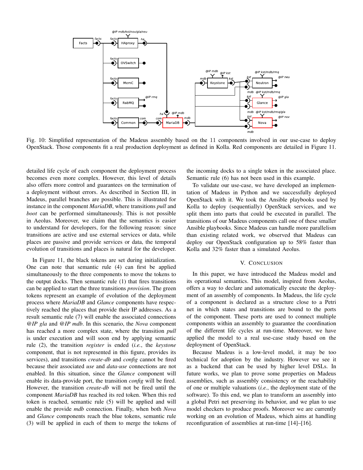

Fig. 10: Simplified representation of the Madeus assembly based on the 11 components involved in our use-case to deploy OpenStack. Those components fit a real production deployment as defined in Kolla. Red components are detailed in Figure 11.

detailed life cycle of each component the deployment process becomes even more complex. However, this level of details also offers more control and guarantees on the termination of a deployment without errors. As described in Section III, in Madeus, parallel branches are possible. This is illustrated for instance in the component *MariaDB*, where transitions *pull* and *boot* can be performed simultaneously. This is not possible in Aeolus. Moreover, we claim that the semantics is easier to understand for developers, for the following reason: since transitions are active and use external services or data, while places are passive and provide services or data, the temporal evolution of transitions and places is natural for the developer.

In Figure 11, the black tokens are set during initialization. One can note that semantic rule (4) can first be applied simultaneously to the three components to move the tokens to the output docks. Then semantic rule (1) that fires transitions can be applied to start the three transitions *provision*. The green tokens represent an example of evolution of the deployment process where *MariaDB* and *Glance* components have respectively reached the places that provide their IP addresses. As a result semantic rule (7) will enable the associated connections *@IP gla* and *@IP mdb*. In this scenario, the *Nova* component has reached a more complex state, where the transition *pull* is under execution and will soon end by applying semantic rule (2), the transition *register* is ended (*i.e.*, the *keystone* component, that is not represented in this figure, provides its services), and transitions *create-db* and *config* cannot be fired because their associated *use* and *data-use* connections are not enabled. In this situation, since the *Glance* component will enable its data-provide port, the transition *config* will be fired. However, the transition *create-db* will not be fired until the component *MariaDB* has reached its red token. When this red token is reached, semantic rule (5) will be applied and will enable the provide *mdb* connection. Finally, when both *Nova* and *Glance* components reach the blue tokens, semantic rule (3) will be applied in each of them to merge the tokens of the incoming docks to a single token in the associated place. Semantic rule (6) has not been used in this example.

To validate our use-case, we have developed an implementation of Madeus in Python and we successfully deployed OpenStack with it. We took the Ansible playbooks used by Kolla to deploy (sequentially) OpenStack services, and we split them into parts that could be executed in parallel. The transitions of our Madeus components call one of these smaller Ansible playbooks. Since Madeus can handle more parallelism than existing related work, we observed that Madeus can deploy our OpenStack configuration up to 58% faster than Kolla and 32% faster than a simulated Aeolus.

#### V. CONCLUSION

In this paper, we have introduced the Madeus model and its operational semantics. This model, inspired from Aeolus, offers a way to declare and automatically execute the deployment of an assembly of components. In Madeus, the life cycle of a component is declared as a structure close to a Petri net in which states and transitions are bound to the ports of the component. These ports are used to connect multiple components within an assembly to guarantee the coordination of the different life cycles at run-time. Moreover, we have applied the model to a real use-case study based on the deployment of OpenStack.

Because Madeus is a low-level model, it may be too technical for adoption by the industry. However we see it as a backend that can be used by higher level DSLs. In future works, we plan to prove some properties on Madeus assemblies, such as assembly consistency or the reachability of one or multiple valuations (*i.e.*, the deployment state of the software). To this end, we plan to transform an assembly into a global Petri net preserving its behavior, and we plan to use model checkers to produce proofs. Moreover we are currently working on an evolution of Madeus, which aims at handling reconfiguration of assemblies at run-time [14]–[16].